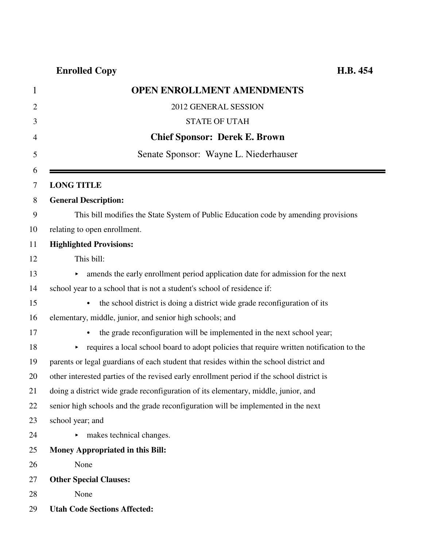| $\mathbf{1}$   | <b>OPEN ENROLLMENT AMENDMENTS</b>                                                         |
|----------------|-------------------------------------------------------------------------------------------|
| $\overline{2}$ | 2012 GENERAL SESSION                                                                      |
| 3              | <b>STATE OF UTAH</b>                                                                      |
| 4              | <b>Chief Sponsor: Derek E. Brown</b>                                                      |
| 5              | Senate Sponsor: Wayne L. Niederhauser                                                     |
| 6              |                                                                                           |
| 7              | <b>LONG TITLE</b>                                                                         |
| 8              | <b>General Description:</b>                                                               |
| 9              | This bill modifies the State System of Public Education code by amending provisions       |
| 10             | relating to open enrollment.                                                              |
|                | <b>Highlighted Provisions:</b>                                                            |
|                | This bill:                                                                                |
|                | amends the early enrollment period application date for admission for the next            |
|                | school year to a school that is not a student's school of residence if:                   |
|                | the school district is doing a district wide grade reconfiguration of its<br>$\bullet$    |
|                | elementary, middle, junior, and senior high schools; and                                  |
|                | the grade reconfiguration will be implemented in the next school year;                    |
|                | requires a local school board to adopt policies that require written notification to the  |
|                | parents or legal guardians of each student that resides within the school district and    |
|                | other interested parties of the revised early enrollment period if the school district is |
|                | doing a district wide grade reconfiguration of its elementary, middle, junior, and        |
|                | senior high schools and the grade reconfiguration will be implemented in the next         |
|                | school year; and                                                                          |
|                | makes technical changes.                                                                  |
|                | <b>Money Appropriated in this Bill:</b>                                                   |
|                | None                                                                                      |
|                | <b>Other Special Clauses:</b>                                                             |
|                | None                                                                                      |
|                | <b>Utah Code Sections Affected:</b>                                                       |
|                |                                                                                           |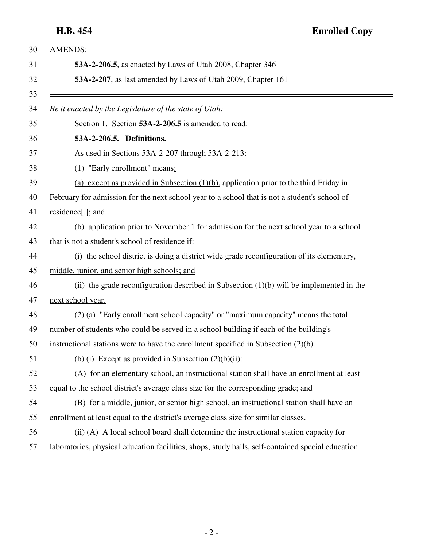**H.B. 454 Enrolled Copy**

| <b>AMENDS:</b>                                                                                    |
|---------------------------------------------------------------------------------------------------|
| 53A-2-206.5, as enacted by Laws of Utah 2008, Chapter 346                                         |
| 53A-2-207, as last amended by Laws of Utah 2009, Chapter 161                                      |
| Be it enacted by the Legislature of the state of Utah:                                            |
| Section 1. Section 53A-2-206.5 is amended to read:                                                |
| 53A-2-206.5. Definitions.                                                                         |
| As used in Sections 53A-2-207 through 53A-2-213:                                                  |
| (1) "Early enrollment" means:                                                                     |
| (a) except as provided in Subsection $(1)(b)$ , application prior to the third Friday in          |
| February for admission for the next school year to a school that is not a student's school of     |
| residence[:]; and                                                                                 |
| (b) application prior to November 1 for admission for the next school year to a school            |
| that is not a student's school of residence if:                                                   |
| (i) the school district is doing a district wide grade reconfiguration of its elementary,         |
| middle, junior, and senior high schools; and                                                      |
| (ii) the grade reconfiguration described in Subsection $(1)(b)$ will be implemented in the        |
| next school year.                                                                                 |
| (2) (a) "Early enrollment school capacity" or "maximum capacity" means the total                  |
| number of students who could be served in a school building if each of the building's             |
| instructional stations were to have the enrollment specified in Subsection $(2)(b)$ .             |
| (b) (i) Except as provided in Subsection $(2)(b)(ii)$ :                                           |
| (A) for an elementary school, an instructional station shall have an enrollment at least          |
| equal to the school district's average class size for the corresponding grade; and                |
| (B) for a middle, junior, or senior high school, an instructional station shall have an           |
| enrollment at least equal to the district's average class size for similar classes.               |
| (ii) (A) A local school board shall determine the instructional station capacity for              |
| laboratories, physical education facilities, shops, study halls, self-contained special education |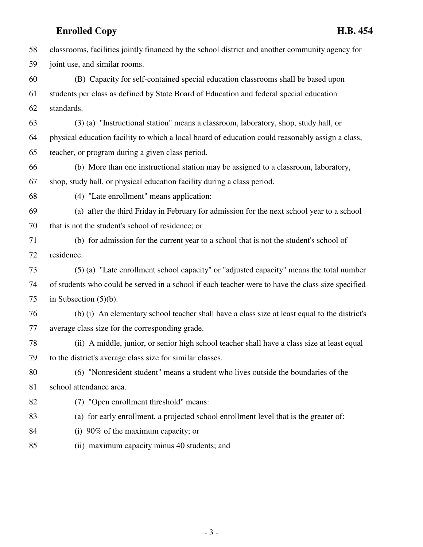58 classrooms, facilities jointly financed by the school district and another community agency for 59 joint use, and similar rooms. 60 (B) Capacity for self-contained special education classrooms shall be based upon 61 students per class as defined by State Board of Education and federal special education 62 standards. 63 (3) (a) "Instructional station" means a classroom, laboratory, shop, study hall, or 64 physical education facility to which a local board of education could reasonably assign a class, 65 teacher, or program during a given class period. 66 (b) More than one instructional station may be assigned to a classroom, laboratory, 67 shop, study hall, or physical education facility during a class period. 68 (4) "Late enrollment" means application: 69 (a) after the third Friday in February for admission for the next school year to a school 70 that is not the student's school of residence; or 71 (b) for admission for the current year to a school that is not the student's school of 72 residence. 73 (5) (a) "Late enrollment school capacity" or "adjusted capacity" means the total number 74 of students who could be served in a school if each teacher were to have the class size specified 75 in Subsection (5)(b). 76 (b) (i) An elementary school teacher shall have a class size at least equal to the district's 77 average class size for the corresponding grade. 78 (ii) A middle, junior, or senior high school teacher shall have a class size at least equal 79 to the district's average class size for similar classes. 80 (6) "Nonresident student" means a student who lives outside the boundaries of the 81 school attendance area. 82 (7) "Open enrollment threshold" means: 83 (a) for early enrollment, a projected school enrollment level that is the greater of: 84 (i) 90% of the maximum capacity; or 85 (ii) maximum capacity minus 40 students; and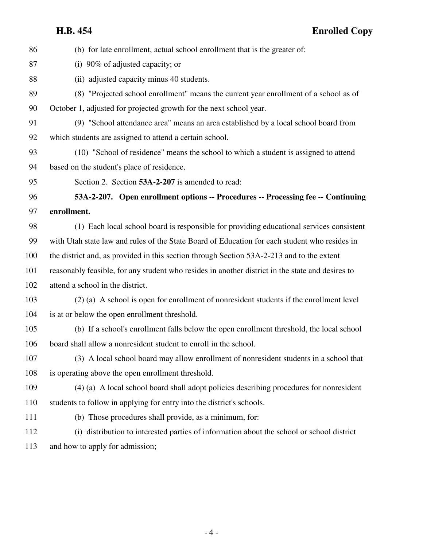| 86  | (b) for late enrollment, actual school enrollment that is the greater of:                        |
|-----|--------------------------------------------------------------------------------------------------|
| 87  | (i) $90\%$ of adjusted capacity; or                                                              |
| 88  | (ii) adjusted capacity minus 40 students.                                                        |
| 89  | (8) "Projected school enrollment" means the current year enrollment of a school as of            |
| 90  | October 1, adjusted for projected growth for the next school year.                               |
| 91  | (9) "School attendance area" means an area established by a local school board from              |
| 92  | which students are assigned to attend a certain school.                                          |
| 93  | (10) "School of residence" means the school to which a student is assigned to attend             |
| 94  | based on the student's place of residence.                                                       |
| 95  | Section 2. Section 53A-2-207 is amended to read:                                                 |
| 96  | 53A-2-207. Open enrollment options -- Procedures -- Processing fee -- Continuing                 |
| 97  | enrollment.                                                                                      |
| 98  | (1) Each local school board is responsible for providing educational services consistent         |
| 99  | with Utah state law and rules of the State Board of Education for each student who resides in    |
| 100 | the district and, as provided in this section through Section 53A-2-213 and to the extent        |
| 101 | reasonably feasible, for any student who resides in another district in the state and desires to |
| 102 | attend a school in the district.                                                                 |
| 103 | (2) (a) A school is open for enrollment of nonresident students if the enrollment level          |
| 104 | is at or below the open enrollment threshold.                                                    |
| 105 | (b) If a school's enrollment falls below the open enrollment threshold, the local school         |
| 106 | board shall allow a nonresident student to enroll in the school.                                 |
| 107 | (3) A local school board may allow enrollment of nonresident students in a school that           |
| 108 | is operating above the open enrollment threshold.                                                |
| 109 | (4) (a) A local school board shall adopt policies describing procedures for nonresident          |
| 110 | students to follow in applying for entry into the district's schools.                            |
| 111 | (b) Those procedures shall provide, as a minimum, for:                                           |
| 112 | (i) distribution to interested parties of information about the school or school district        |
| 113 | and how to apply for admission;                                                                  |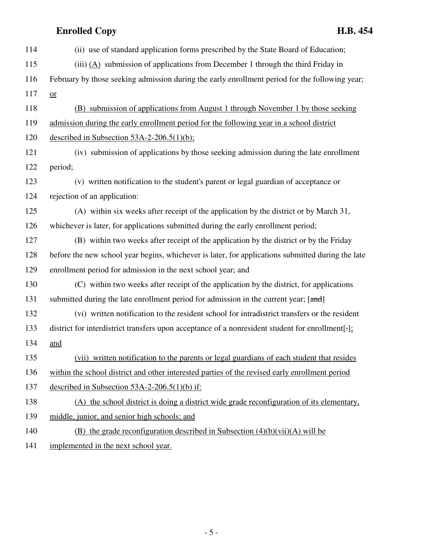| 114 | (ii) use of standard application forms prescribed by the State Board of Education;                |
|-----|---------------------------------------------------------------------------------------------------|
| 115 | (iii) $(A)$ submission of applications from December 1 through the third Friday in                |
| 116 | February by those seeking admission during the early enrollment period for the following year;    |
| 117 | $or$                                                                                              |
| 118 | (B) submission of applications from August 1 through November 1 by those seeking                  |
| 119 | admission during the early enrollment period for the following year in a school district          |
| 120 | described in Subsection $53A-2-206.5(1)(b)$ ;                                                     |
| 121 | (iv) submission of applications by those seeking admission during the late enrollment             |
| 122 | period;                                                                                           |
| 123 | (v) written notification to the student's parent or legal guardian of acceptance or               |
| 124 | rejection of an application:                                                                      |
| 125 | (A) within six weeks after receipt of the application by the district or by March 31,             |
| 126 | whichever is later, for applications submitted during the early enrollment period;                |
| 127 | (B) within two weeks after receipt of the application by the district or by the Friday            |
| 128 | before the new school year begins, whichever is later, for applications submitted during the late |
| 129 | enrollment period for admission in the next school year; and                                      |
| 130 | (C) within two weeks after receipt of the application by the district, for applications           |
| 131 | submitted during the late enrollment period for admission in the current year; [and]              |
| 132 | (vi) written notification to the resident school for intradistrict transfers or the resident      |
| 133 | district for interdistrict transfers upon acceptance of a nonresident student for enrollment[.]:  |
| 134 | and                                                                                               |
| 135 | (vii) written notification to the parents or legal guardians of each student that resides         |
| 136 | within the school district and other interested parties of the revised early enrollment period    |
| 137 | described in Subsection $53A-2-206.5(1)(b)$ if:                                                   |
| 138 | (A) the school district is doing a district wide grade reconfiguration of its elementary,         |
| 139 | middle, junior, and senior high schools; and                                                      |
| 140 | (B) the grade reconfiguration described in Subsection $(4)(b)(vii)(A)$ will be                    |
| 141 | implemented in the next school year.                                                              |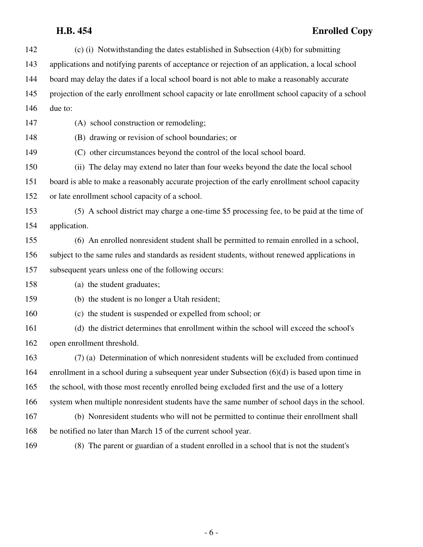# **H.B. 454 Enrolled Copy**

| 142 | (c) (i) Notwithstanding the dates established in Subsection $(4)(b)$ for submitting               |
|-----|---------------------------------------------------------------------------------------------------|
| 143 | applications and notifying parents of acceptance or rejection of an application, a local school   |
| 144 | board may delay the dates if a local school board is not able to make a reasonably accurate       |
| 145 | projection of the early enrollment school capacity or late enrollment school capacity of a school |
| 146 | due to:                                                                                           |
| 147 | (A) school construction or remodeling;                                                            |
| 148 | (B) drawing or revision of school boundaries; or                                                  |
| 149 | (C) other circumstances beyond the control of the local school board.                             |
| 150 | (ii) The delay may extend no later than four weeks beyond the date the local school               |
| 151 | board is able to make a reasonably accurate projection of the early enrollment school capacity    |
| 152 | or late enrollment school capacity of a school.                                                   |
| 153 | (5) A school district may charge a one-time \$5 processing fee, to be paid at the time of         |
| 154 | application.                                                                                      |
| 155 | (6) An enrolled nonresident student shall be permitted to remain enrolled in a school,            |
| 156 | subject to the same rules and standards as resident students, without renewed applications in     |
| 157 | subsequent years unless one of the following occurs:                                              |
| 158 | (a) the student graduates;                                                                        |
| 159 | (b) the student is no longer a Utah resident;                                                     |
| 160 | (c) the student is suspended or expelled from school; or                                          |
| 161 | (d) the district determines that enrollment within the school will exceed the school's            |
| 162 | open enrollment threshold.                                                                        |
| 163 | (7) (a) Determination of which nonresident students will be excluded from continued               |
| 164 | enrollment in a school during a subsequent year under Subsection $(6)(d)$ is based upon time in   |
| 165 | the school, with those most recently enrolled being excluded first and the use of a lottery       |
| 166 | system when multiple nonresident students have the same number of school days in the school.      |
| 167 | (b) Nonresident students who will not be permitted to continue their enrollment shall             |
| 168 | be notified no later than March 15 of the current school year.                                    |
| 169 | (8) The parent or guardian of a student enrolled in a school that is not the student's            |

- 6 -